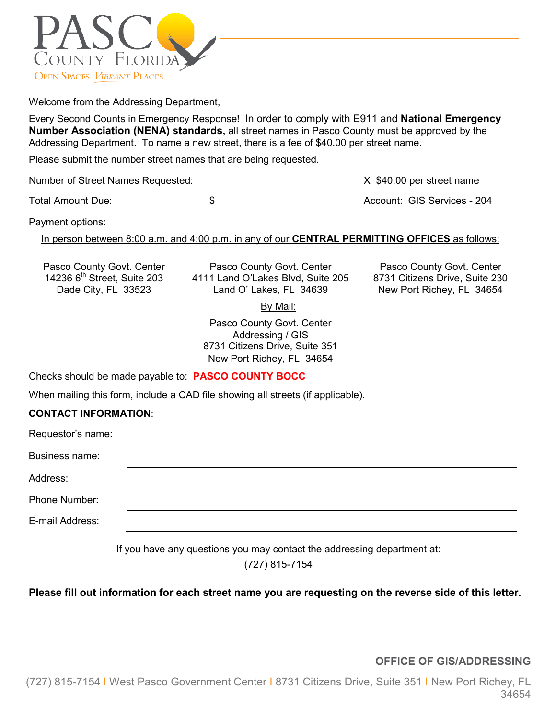

Welcome from the Addressing Department,

Every Second Counts in Emergency Response! In order to comply with E911 and **National Emergency Number Association (NENA) standards,** all street names in Pasco County must be approved by the Addressing Department. To name a new street, there is a fee of \$40.00 per street name.

Please submit the number street names that are being requested.

Number of Street Names Requested: X \$40.00 per street name

Total Amount Due: \$ Account: GIS Services - 204

Payment options:

In person between 8:00 a.m. and 4:00 p.m. in any of our **CENTRAL PERMITTING OFFICES** as follows:

Pasco County Govt. Center Pasco County Govt. Center Pasco County Govt. Center Pasco County Govt. Center 14236 6<sup>th</sup> Street, Suite 203 4111 Land O'Lakes Blvd, Suite 205 8731 Citizens Drive, Suite 230 236 6<sup>th</sup> Street, Suite 203 4111 Land O'Lakes Blvd, Suite 205<br>Dade City, FL 33523 **Citizens Claud O'Lakes, FL 34639** 

New Port Richey, FL 34654

By Mail:

Pasco County Govt. Center Addressing / GIS 8731 Citizens Drive, Suite 351 New Port Richey, FL 34654

Checks should be made payable to: **PASCO COUNTY BOCC**

When mailing this form, include a CAD file showing all streets (if applicable).

## **CONTACT INFORMATION**:

| Requestor's name: |  |  |
|-------------------|--|--|
| Business name:    |  |  |
| Address:          |  |  |
| Phone Number:     |  |  |
| E-mail Address:   |  |  |
|                   |  |  |

If you have any questions you may contact the addressing department at:

(727) 815-7154

**Please fill out information for each street name you are requesting on the reverse side of this letter.**

**OFFICE OF GIS/ADDRESSING**